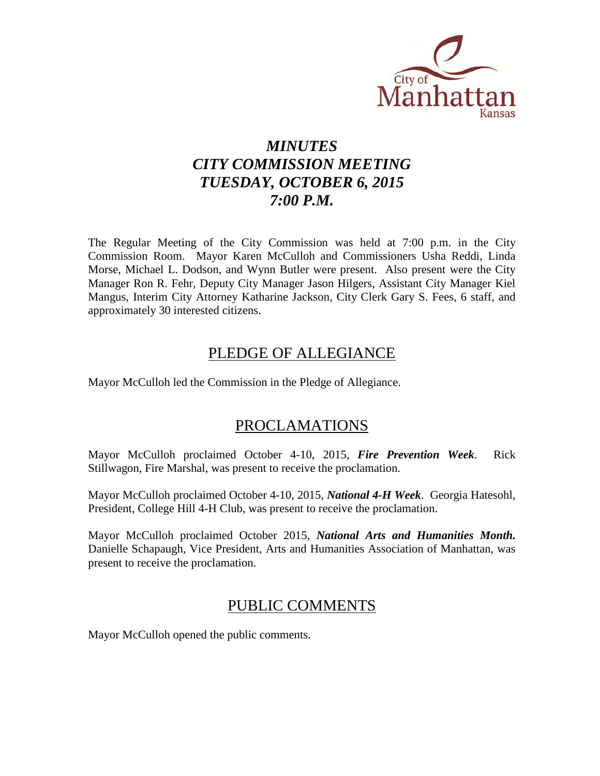

# *MINUTES CITY COMMISSION MEETING TUESDAY, OCTOBER 6, 2015 7:00 P.M.*

The Regular Meeting of the City Commission was held at 7:00 p.m. in the City Commission Room. Mayor Karen McCulloh and Commissioners Usha Reddi, Linda Morse, Michael L. Dodson, and Wynn Butler were present. Also present were the City Manager Ron R. Fehr, Deputy City Manager Jason Hilgers, Assistant City Manager Kiel Mangus, Interim City Attorney Katharine Jackson, City Clerk Gary S. Fees, 6 staff, and approximately 30 interested citizens.

## PLEDGE OF ALLEGIANCE

Mayor McCulloh led the Commission in the Pledge of Allegiance.

## PROCLAMATIONS

Mayor McCulloh proclaimed October 4-10, 2015, *Fire Prevention Week*. Rick Stillwagon, Fire Marshal, was present to receive the proclamation.

Mayor McCulloh proclaimed October 4-10, 2015, *National 4-H Week*. Georgia Hatesohl, President, College Hill 4-H Club, was present to receive the proclamation.

Mayor McCulloh proclaimed October 2015, *National Arts and Humanities Month.*  Danielle Schapaugh, Vice President, Arts and Humanities Association of Manhattan, was present to receive the proclamation.

## PUBLIC COMMENTS

Mayor McCulloh opened the public comments.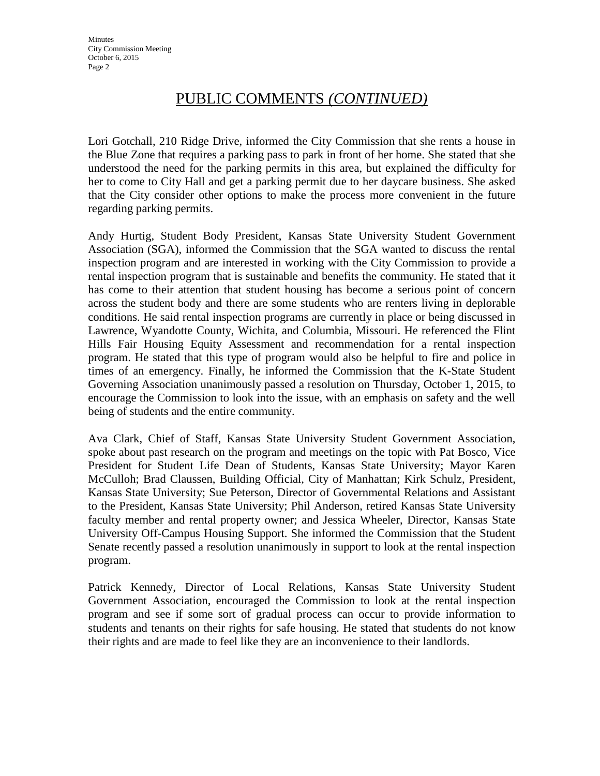Lori Gotchall, 210 Ridge Drive, informed the City Commission that she rents a house in the Blue Zone that requires a parking pass to park in front of her home. She stated that she understood the need for the parking permits in this area, but explained the difficulty for her to come to City Hall and get a parking permit due to her daycare business. She asked that the City consider other options to make the process more convenient in the future regarding parking permits.

Andy Hurtig, Student Body President, Kansas State University Student Government Association (SGA), informed the Commission that the SGA wanted to discuss the rental inspection program and are interested in working with the City Commission to provide a rental inspection program that is sustainable and benefits the community. He stated that it has come to their attention that student housing has become a serious point of concern across the student body and there are some students who are renters living in deplorable conditions. He said rental inspection programs are currently in place or being discussed in Lawrence, Wyandotte County, Wichita, and Columbia, Missouri. He referenced the Flint Hills Fair Housing Equity Assessment and recommendation for a rental inspection program. He stated that this type of program would also be helpful to fire and police in times of an emergency. Finally, he informed the Commission that the K-State Student Governing Association unanimously passed a resolution on Thursday, October 1, 2015, to encourage the Commission to look into the issue, with an emphasis on safety and the well being of students and the entire community.

Ava Clark, Chief of Staff, Kansas State University Student Government Association, spoke about past research on the program and meetings on the topic with Pat Bosco, Vice President for Student Life Dean of Students, Kansas State University; Mayor Karen McCulloh; Brad Claussen, Building Official, City of Manhattan; Kirk Schulz, President, Kansas State University; Sue Peterson, Director of Governmental Relations and Assistant to the President, Kansas State University; Phil Anderson, retired Kansas State University faculty member and rental property owner; and Jessica Wheeler, Director, Kansas State University Off-Campus Housing Support. She informed the Commission that the Student Senate recently passed a resolution unanimously in support to look at the rental inspection program.

Patrick Kennedy, Director of Local Relations, Kansas State University Student Government Association, encouraged the Commission to look at the rental inspection program and see if some sort of gradual process can occur to provide information to students and tenants on their rights for safe housing. He stated that students do not know their rights and are made to feel like they are an inconvenience to their landlords.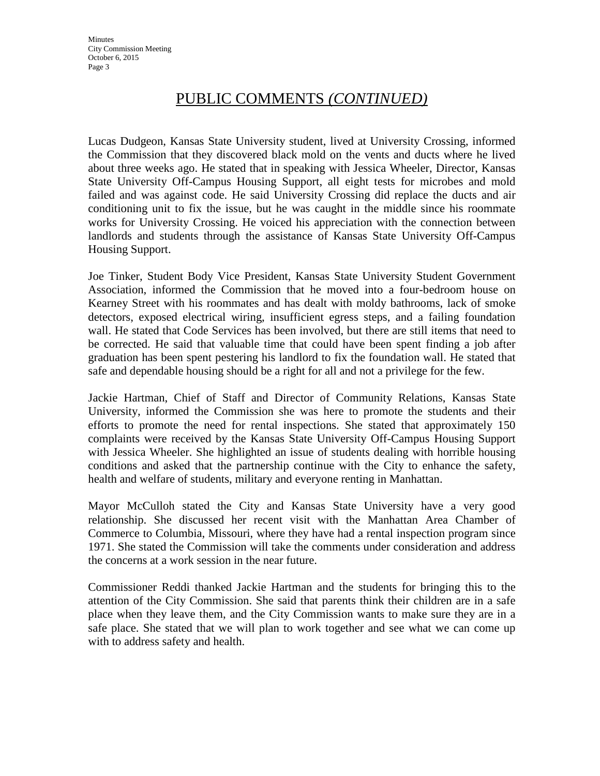Lucas Dudgeon, Kansas State University student, lived at University Crossing, informed the Commission that they discovered black mold on the vents and ducts where he lived about three weeks ago. He stated that in speaking with Jessica Wheeler, Director, Kansas State University Off-Campus Housing Support, all eight tests for microbes and mold failed and was against code. He said University Crossing did replace the ducts and air conditioning unit to fix the issue, but he was caught in the middle since his roommate works for University Crossing. He voiced his appreciation with the connection between landlords and students through the assistance of Kansas State University Off-Campus Housing Support.

Joe Tinker, Student Body Vice President, Kansas State University Student Government Association, informed the Commission that he moved into a four-bedroom house on Kearney Street with his roommates and has dealt with moldy bathrooms, lack of smoke detectors, exposed electrical wiring, insufficient egress steps, and a failing foundation wall. He stated that Code Services has been involved, but there are still items that need to be corrected. He said that valuable time that could have been spent finding a job after graduation has been spent pestering his landlord to fix the foundation wall. He stated that safe and dependable housing should be a right for all and not a privilege for the few.

Jackie Hartman, Chief of Staff and Director of Community Relations, Kansas State University, informed the Commission she was here to promote the students and their efforts to promote the need for rental inspections. She stated that approximately 150 complaints were received by the Kansas State University Off-Campus Housing Support with Jessica Wheeler. She highlighted an issue of students dealing with horrible housing conditions and asked that the partnership continue with the City to enhance the safety, health and welfare of students, military and everyone renting in Manhattan.

Mayor McCulloh stated the City and Kansas State University have a very good relationship. She discussed her recent visit with the Manhattan Area Chamber of Commerce to Columbia, Missouri, where they have had a rental inspection program since 1971. She stated the Commission will take the comments under consideration and address the concerns at a work session in the near future.

Commissioner Reddi thanked Jackie Hartman and the students for bringing this to the attention of the City Commission. She said that parents think their children are in a safe place when they leave them, and the City Commission wants to make sure they are in a safe place. She stated that we will plan to work together and see what we can come up with to address safety and health.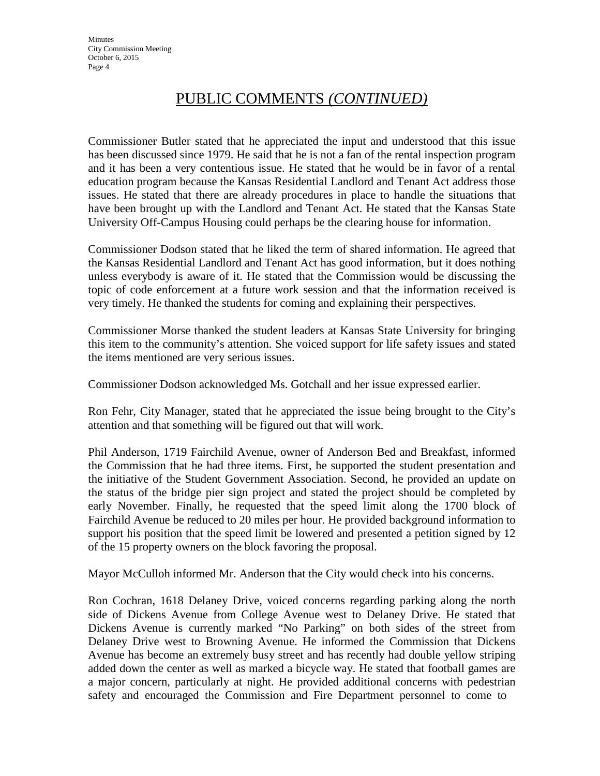Commissioner Butler stated that he appreciated the input and understood that this issue has been discussed since 1979. He said that he is not a fan of the rental inspection program and it has been a very contentious issue. He stated that he would be in favor of a rental education program because the Kansas Residential Landlord and Tenant Act address those issues. He stated that there are already procedures in place to handle the situations that have been brought up with the Landlord and Tenant Act. He stated that the Kansas State University Off-Campus Housing could perhaps be the clearing house for information.

Commissioner Dodson stated that he liked the term of shared information. He agreed that the Kansas Residential Landlord and Tenant Act has good information, but it does nothing unless everybody is aware of it. He stated that the Commission would be discussing the topic of code enforcement at a future work session and that the information received is very timely. He thanked the students for coming and explaining their perspectives.

Commissioner Morse thanked the student leaders at Kansas State University for bringing this item to the community's attention. She voiced support for life safety issues and stated the items mentioned are very serious issues.

Commissioner Dodson acknowledged Ms. Gotchall and her issue expressed earlier.

Ron Fehr, City Manager, stated that he appreciated the issue being brought to the City's attention and that something will be figured out that will work.

Phil Anderson, 1719 Fairchild Avenue, owner of Anderson Bed and Breakfast, informed the Commission that he had three items. First, he supported the student presentation and the initiative of the Student Government Association. Second, he provided an update on the status of the bridge pier sign project and stated the project should be completed by early November. Finally, he requested that the speed limit along the 1700 block of Fairchild Avenue be reduced to 20 miles per hour. He provided background information to support his position that the speed limit be lowered and presented a petition signed by 12 of the 15 property owners on the block favoring the proposal.

Mayor McCulloh informed Mr. Anderson that the City would check into his concerns.

Ron Cochran, 1618 Delaney Drive, voiced concerns regarding parking along the north side of Dickens Avenue from College Avenue west to Delaney Drive. He stated that Dickens Avenue is currently marked "No Parking" on both sides of the street from Delaney Drive west to Browning Avenue. He informed the Commission that Dickens Avenue has become an extremely busy street and has recently had double yellow striping added down the center as well as marked a bicycle way. He stated that football games are a major concern, particularly at night. He provided additional concerns with pedestrian safety and encouraged the Commission and Fire Department personnel to come to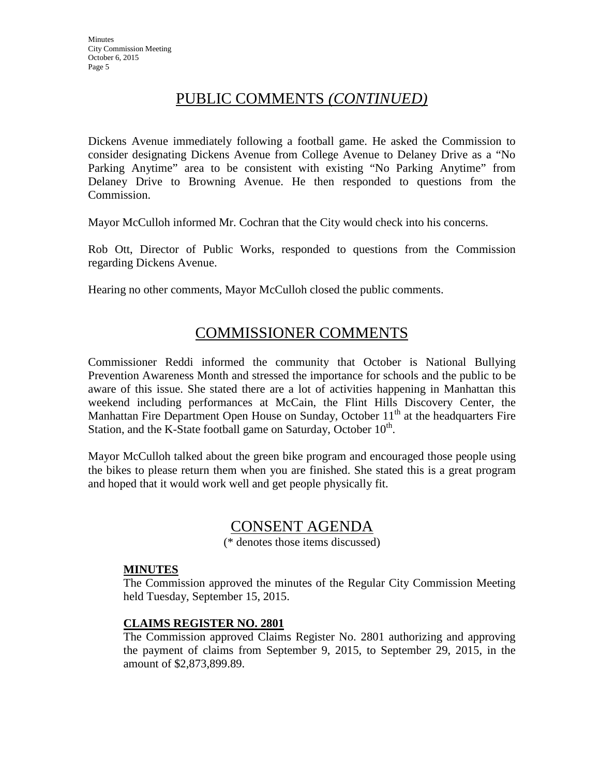Dickens Avenue immediately following a football game. He asked the Commission to consider designating Dickens Avenue from College Avenue to Delaney Drive as a "No Parking Anytime" area to be consistent with existing "No Parking Anytime" from Delaney Drive to Browning Avenue. He then responded to questions from the Commission.

Mayor McCulloh informed Mr. Cochran that the City would check into his concerns.

Rob Ott, Director of Public Works, responded to questions from the Commission regarding Dickens Avenue.

Hearing no other comments, Mayor McCulloh closed the public comments.

# COMMISSIONER COMMENTS

Commissioner Reddi informed the community that October is National Bullying Prevention Awareness Month and stressed the importance for schools and the public to be aware of this issue. She stated there are a lot of activities happening in Manhattan this weekend including performances at McCain, the Flint Hills Discovery Center, the Manhattan Fire Department Open House on Sunday, October  $11<sup>th</sup>$  at the headquarters Fire Station, and the K-State football game on Saturday, October 10<sup>th</sup>.

Mayor McCulloh talked about the green bike program and encouraged those people using the bikes to please return them when you are finished. She stated this is a great program and hoped that it would work well and get people physically fit.

## CONSENT AGENDA

(\* denotes those items discussed)

## **MINUTES**

The Commission approved the minutes of the Regular City Commission Meeting held Tuesday, September 15, 2015.

## **CLAIMS REGISTER NO. 2801**

The Commission approved Claims Register No. 2801 authorizing and approving the payment of claims from September 9, 2015, to September 29, 2015, in the amount of \$2,873,899.89.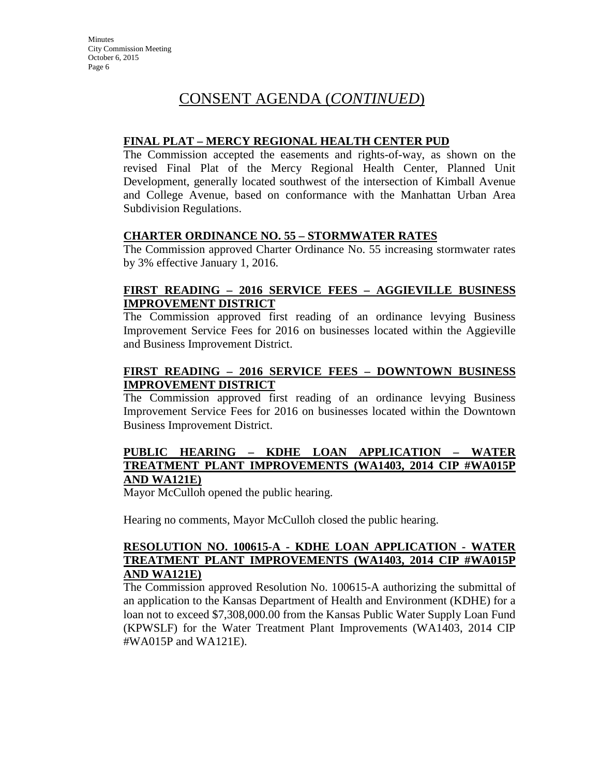#### **FINAL PLAT – MERCY REGIONAL HEALTH CENTER PUD**

The Commission accepted the easements and rights-of-way, as shown on the revised Final Plat of the Mercy Regional Health Center, Planned Unit Development, generally located southwest of the intersection of Kimball Avenue and College Avenue, based on conformance with the Manhattan Urban Area Subdivision Regulations.

#### **CHARTER ORDINANCE NO. 55 – STORMWATER RATES**

The Commission approved Charter Ordinance No. 55 increasing stormwater rates by 3% effective January 1, 2016.

#### **FIRST READING – 2016 SERVICE FEES – AGGIEVILLE BUSINESS IMPROVEMENT DISTRICT**

The Commission approved first reading of an ordinance levying Business Improvement Service Fees for 2016 on businesses located within the Aggieville and Business Improvement District.

## **FIRST READING – 2016 SERVICE FEES – DOWNTOWN BUSINESS IMPROVEMENT DISTRICT**

The Commission approved first reading of an ordinance levying Business Improvement Service Fees for 2016 on businesses located within the Downtown Business Improvement District.

#### **PUBLIC HEARING – KDHE LOAN APPLICATION – WATER TREATMENT PLANT IMPROVEMENTS (WA1403, 2014 CIP #WA015P AND WA121E)**

Mayor McCulloh opened the public hearing.

Hearing no comments, Mayor McCulloh closed the public hearing.

#### **RESOLUTION NO. 100615-A - KDHE LOAN APPLICATION - WATER TREATMENT PLANT IMPROVEMENTS (WA1403, 2014 CIP #WA015P AND WA121E)**

The Commission approved Resolution No. 100615-A authorizing the submittal of an application to the Kansas Department of Health and Environment (KDHE) for a loan not to exceed \$7,308,000.00 from the Kansas Public Water Supply Loan Fund (KPWSLF) for the Water Treatment Plant Improvements (WA1403, 2014 CIP #WA015P and WA121E).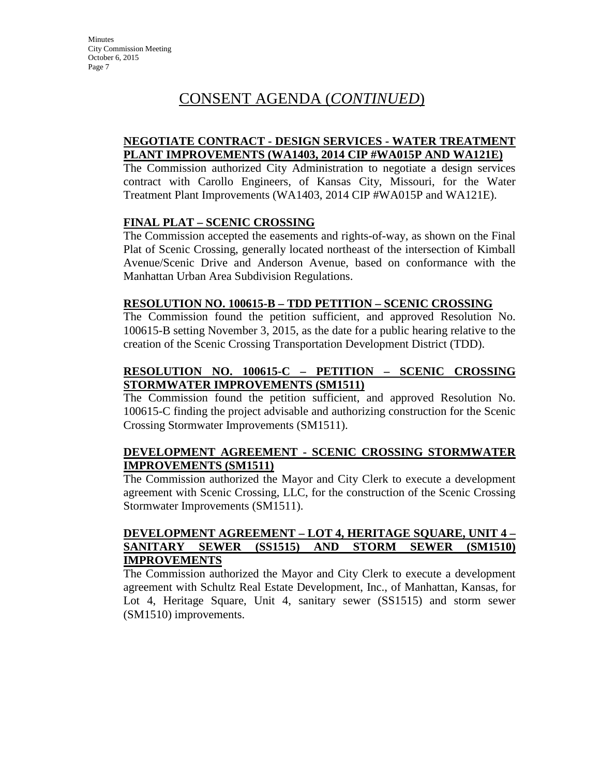#### **NEGOTIATE CONTRACT - DESIGN SERVICES - WATER TREATMENT PLANT IMPROVEMENTS (WA1403, 2014 CIP #WA015P AND WA121E)**

The Commission authorized City Administration to negotiate a design services contract with Carollo Engineers, of Kansas City, Missouri, for the Water Treatment Plant Improvements (WA1403, 2014 CIP #WA015P and WA121E).

## **FINAL PLAT – SCENIC CROSSING**

The Commission accepted the easements and rights-of-way, as shown on the Final Plat of Scenic Crossing, generally located northeast of the intersection of Kimball Avenue/Scenic Drive and Anderson Avenue, based on conformance with the Manhattan Urban Area Subdivision Regulations.

#### **RESOLUTION NO. 100615-B – TDD PETITION – SCENIC CROSSING**

The Commission found the petition sufficient, and approved Resolution No. 100615-B setting November 3, 2015, as the date for a public hearing relative to the creation of the Scenic Crossing Transportation Development District (TDD).

## **RESOLUTION NO. 100615-C – PETITION – SCENIC CROSSING STORMWATER IMPROVEMENTS (SM1511)**

The Commission found the petition sufficient, and approved Resolution No. 100615-C finding the project advisable and authorizing construction for the Scenic Crossing Stormwater Improvements (SM1511).

## **DEVELOPMENT AGREEMENT - SCENIC CROSSING STORMWATER IMPROVEMENTS (SM1511)**

The Commission authorized the Mayor and City Clerk to execute a development agreement with Scenic Crossing, LLC, for the construction of the Scenic Crossing Stormwater Improvements (SM1511).

## **DEVELOPMENT AGREEMENT – LOT 4, HERITAGE SQUARE, UNIT 4 – SANITARY SEWER (SS1515) AND STORM SEWER (SM1510) IMPROVEMENTS**

The Commission authorized the Mayor and City Clerk to execute a development agreement with Schultz Real Estate Development, Inc., of Manhattan, Kansas, for Lot 4, Heritage Square, Unit 4, sanitary sewer (SS1515) and storm sewer (SM1510) improvements.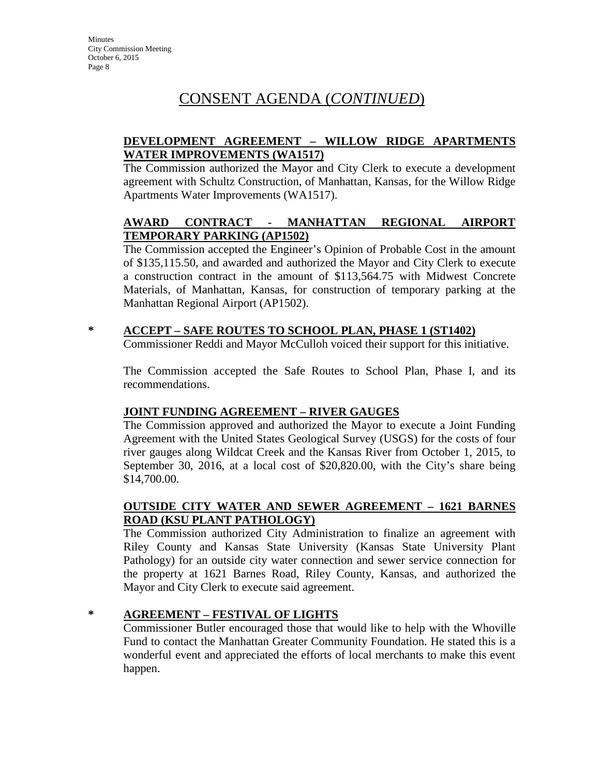## **DEVELOPMENT AGREEMENT – WILLOW RIDGE APARTMENTS WATER IMPROVEMENTS (WA1517)**

The Commission authorized the Mayor and City Clerk to execute a development agreement with Schultz Construction, of Manhattan, Kansas, for the Willow Ridge Apartments Water Improvements (WA1517).

## **AWARD CONTRACT - MANHATTAN REGIONAL AIRPORT TEMPORARY PARKING (AP1502)**

The Commission accepted the Engineer's Opinion of Probable Cost in the amount of \$135,115.50, and awarded and authorized the Mayor and City Clerk to execute a construction contract in the amount of \$113,564.75 with Midwest Concrete Materials, of Manhattan, Kansas, for construction of temporary parking at the Manhattan Regional Airport (AP1502).

## **\* ACCEPT – SAFE ROUTES TO SCHOOL PLAN, PHASE 1 (ST1402)**

Commissioner Reddi and Mayor McCulloh voiced their support for this initiative.

The Commission accepted the Safe Routes to School Plan, Phase I, and its recommendations.

## **JOINT FUNDING AGREEMENT – RIVER GAUGES**

The Commission approved and authorized the Mayor to execute a Joint Funding Agreement with the United States Geological Survey (USGS) for the costs of four river gauges along Wildcat Creek and the Kansas River from October 1, 2015, to September 30, 2016, at a local cost of \$20,820.00, with the City's share being \$14,700.00.

## **OUTSIDE CITY WATER AND SEWER AGREEMENT – 1621 BARNES ROAD (KSU PLANT PATHOLOGY)**

The Commission authorized City Administration to finalize an agreement with Riley County and Kansas State University (Kansas State University Plant Pathology) for an outside city water connection and sewer service connection for the property at 1621 Barnes Road, Riley County, Kansas, and authorized the Mayor and City Clerk to execute said agreement.

## **\* AGREEMENT – FESTIVAL OF LIGHTS**

Commissioner Butler encouraged those that would like to help with the Whoville Fund to contact the Manhattan Greater Community Foundation. He stated this is a wonderful event and appreciated the efforts of local merchants to make this event happen.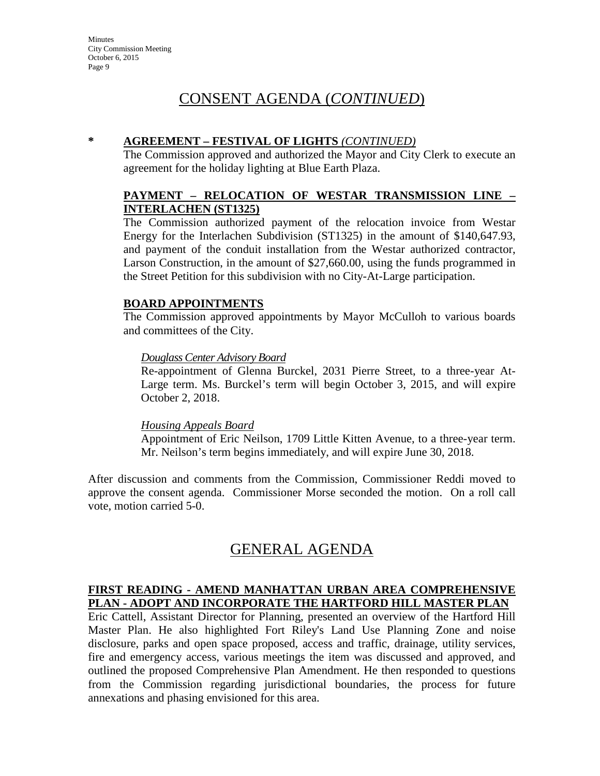#### **\* AGREEMENT – FESTIVAL OF LIGHTS** *(CONTINUED)*

The Commission approved and authorized the Mayor and City Clerk to execute an agreement for the holiday lighting at Blue Earth Plaza.

## **PAYMENT – RELOCATION OF WESTAR TRANSMISSION LINE – INTERLACHEN (ST1325)**

The Commission authorized payment of the relocation invoice from Westar Energy for the Interlachen Subdivision (ST1325) in the amount of \$140,647.93, and payment of the conduit installation from the Westar authorized contractor, Larson Construction, in the amount of \$27,660.00, using the funds programmed in the Street Petition for this subdivision with no City-At-Large participation.

#### **BOARD APPOINTMENTS**

The Commission approved appointments by Mayor McCulloh to various boards and committees of the City.

#### *Douglass Center Advisory Board*

Re-appointment of Glenna Burckel, 2031 Pierre Street, to a three-year At-Large term. Ms. Burckel's term will begin October 3, 2015, and will expire October 2, 2018.

#### *Housing Appeals Board*

Appointment of Eric Neilson, 1709 Little Kitten Avenue, to a three-year term. Mr. Neilson's term begins immediately, and will expire June 30, 2018.

After discussion and comments from the Commission, Commissioner Reddi moved to approve the consent agenda. Commissioner Morse seconded the motion. On a roll call vote, motion carried 5-0.

## GENERAL AGENDA

#### **FIRST READING - AMEND MANHATTAN URBAN AREA COMPREHENSIVE PLAN - ADOPT AND INCORPORATE THE HARTFORD HILL MASTER PLAN**

Eric Cattell, Assistant Director for Planning, presented an overview of the Hartford Hill Master Plan. He also highlighted Fort Riley's Land Use Planning Zone and noise disclosure, parks and open space proposed, access and traffic, drainage, utility services, fire and emergency access, various meetings the item was discussed and approved, and outlined the proposed Comprehensive Plan Amendment. He then responded to questions from the Commission regarding jurisdictional boundaries, the process for future annexations and phasing envisioned for this area.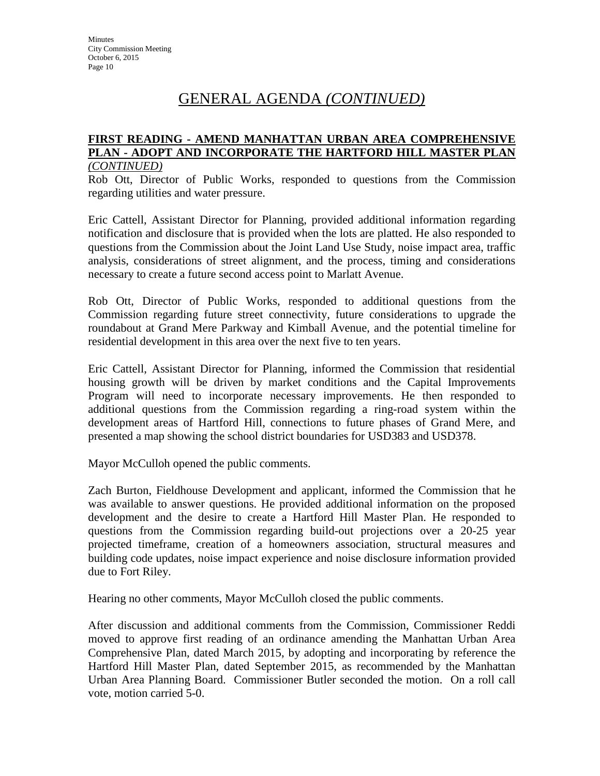# GENERAL AGENDA *(CONTINUED)*

#### **FIRST READING - AMEND MANHATTAN URBAN AREA COMPREHENSIVE PLAN - ADOPT AND INCORPORATE THE HARTFORD HILL MASTER PLAN** *(CONTINUED)*

Rob Ott, Director of Public Works, responded to questions from the Commission regarding utilities and water pressure.

Eric Cattell, Assistant Director for Planning, provided additional information regarding notification and disclosure that is provided when the lots are platted. He also responded to questions from the Commission about the Joint Land Use Study, noise impact area, traffic analysis, considerations of street alignment, and the process, timing and considerations necessary to create a future second access point to Marlatt Avenue.

Rob Ott, Director of Public Works, responded to additional questions from the Commission regarding future street connectivity, future considerations to upgrade the roundabout at Grand Mere Parkway and Kimball Avenue, and the potential timeline for residential development in this area over the next five to ten years.

Eric Cattell, Assistant Director for Planning, informed the Commission that residential housing growth will be driven by market conditions and the Capital Improvements Program will need to incorporate necessary improvements. He then responded to additional questions from the Commission regarding a ring-road system within the development areas of Hartford Hill, connections to future phases of Grand Mere, and presented a map showing the school district boundaries for USD383 and USD378.

Mayor McCulloh opened the public comments.

Zach Burton, Fieldhouse Development and applicant, informed the Commission that he was available to answer questions. He provided additional information on the proposed development and the desire to create a Hartford Hill Master Plan. He responded to questions from the Commission regarding build-out projections over a 20-25 year projected timeframe, creation of a homeowners association, structural measures and building code updates, noise impact experience and noise disclosure information provided due to Fort Riley.

Hearing no other comments, Mayor McCulloh closed the public comments.

After discussion and additional comments from the Commission, Commissioner Reddi moved to approve first reading of an ordinance amending the Manhattan Urban Area Comprehensive Plan, dated March 2015, by adopting and incorporating by reference the Hartford Hill Master Plan, dated September 2015, as recommended by the Manhattan Urban Area Planning Board. Commissioner Butler seconded the motion. On a roll call vote, motion carried 5-0.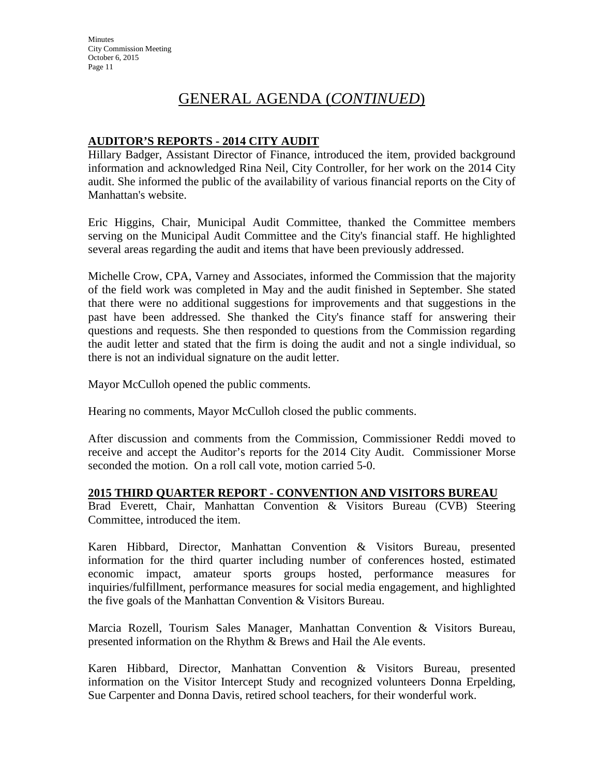# GENERAL AGENDA (*CONTINUED*)

## **AUDITOR'S REPORTS - 2014 CITY AUDIT**

Hillary Badger, Assistant Director of Finance, introduced the item, provided background information and acknowledged Rina Neil, City Controller, for her work on the 2014 City audit. She informed the public of the availability of various financial reports on the City of Manhattan's website.

Eric Higgins, Chair, Municipal Audit Committee, thanked the Committee members serving on the Municipal Audit Committee and the City's financial staff. He highlighted several areas regarding the audit and items that have been previously addressed.

Michelle Crow, CPA, Varney and Associates, informed the Commission that the majority of the field work was completed in May and the audit finished in September. She stated that there were no additional suggestions for improvements and that suggestions in the past have been addressed. She thanked the City's finance staff for answering their questions and requests. She then responded to questions from the Commission regarding the audit letter and stated that the firm is doing the audit and not a single individual, so there is not an individual signature on the audit letter.

Mayor McCulloh opened the public comments.

Hearing no comments, Mayor McCulloh closed the public comments.

After discussion and comments from the Commission, Commissioner Reddi moved to receive and accept the Auditor's reports for the 2014 City Audit. Commissioner Morse seconded the motion. On a roll call vote, motion carried 5-0.

## **2015 THIRD QUARTER REPORT - CONVENTION AND VISITORS BUREAU**

Brad Everett, Chair, Manhattan Convention & Visitors Bureau (CVB) Steering Committee, introduced the item.

Karen Hibbard, Director, Manhattan Convention & Visitors Bureau, presented information for the third quarter including number of conferences hosted, estimated economic impact, amateur sports groups hosted, performance measures for inquiries/fulfillment, performance measures for social media engagement, and highlighted the five goals of the Manhattan Convention & Visitors Bureau.

Marcia Rozell, Tourism Sales Manager, Manhattan Convention & Visitors Bureau, presented information on the Rhythm & Brews and Hail the Ale events.

Karen Hibbard, Director, Manhattan Convention & Visitors Bureau, presented information on the Visitor Intercept Study and recognized volunteers Donna Erpelding, Sue Carpenter and Donna Davis, retired school teachers, for their wonderful work.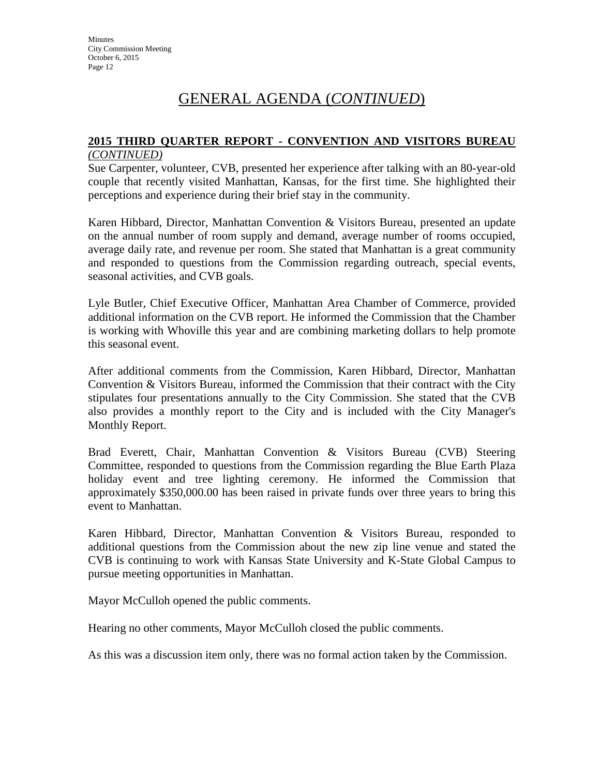# GENERAL AGENDA (*CONTINUED*)

# **2015 THIRD QUARTER REPORT - CONVENTION AND VISITORS BUREAU**

## *(CONTINUED)*

Sue Carpenter, volunteer, CVB, presented her experience after talking with an 80-year-old couple that recently visited Manhattan, Kansas, for the first time. She highlighted their perceptions and experience during their brief stay in the community.

Karen Hibbard, Director, Manhattan Convention & Visitors Bureau, presented an update on the annual number of room supply and demand, average number of rooms occupied, average daily rate, and revenue per room. She stated that Manhattan is a great community and responded to questions from the Commission regarding outreach, special events, seasonal activities, and CVB goals.

Lyle Butler, Chief Executive Officer, Manhattan Area Chamber of Commerce, provided additional information on the CVB report. He informed the Commission that the Chamber is working with Whoville this year and are combining marketing dollars to help promote this seasonal event.

After additional comments from the Commission, Karen Hibbard, Director, Manhattan Convention & Visitors Bureau, informed the Commission that their contract with the City stipulates four presentations annually to the City Commission. She stated that the CVB also provides a monthly report to the City and is included with the City Manager's Monthly Report.

Brad Everett, Chair, Manhattan Convention & Visitors Bureau (CVB) Steering Committee, responded to questions from the Commission regarding the Blue Earth Plaza holiday event and tree lighting ceremony. He informed the Commission that approximately \$350,000.00 has been raised in private funds over three years to bring this event to Manhattan.

Karen Hibbard, Director, Manhattan Convention & Visitors Bureau, responded to additional questions from the Commission about the new zip line venue and stated the CVB is continuing to work with Kansas State University and K-State Global Campus to pursue meeting opportunities in Manhattan.

Mayor McCulloh opened the public comments.

Hearing no other comments, Mayor McCulloh closed the public comments.

As this was a discussion item only, there was no formal action taken by the Commission.